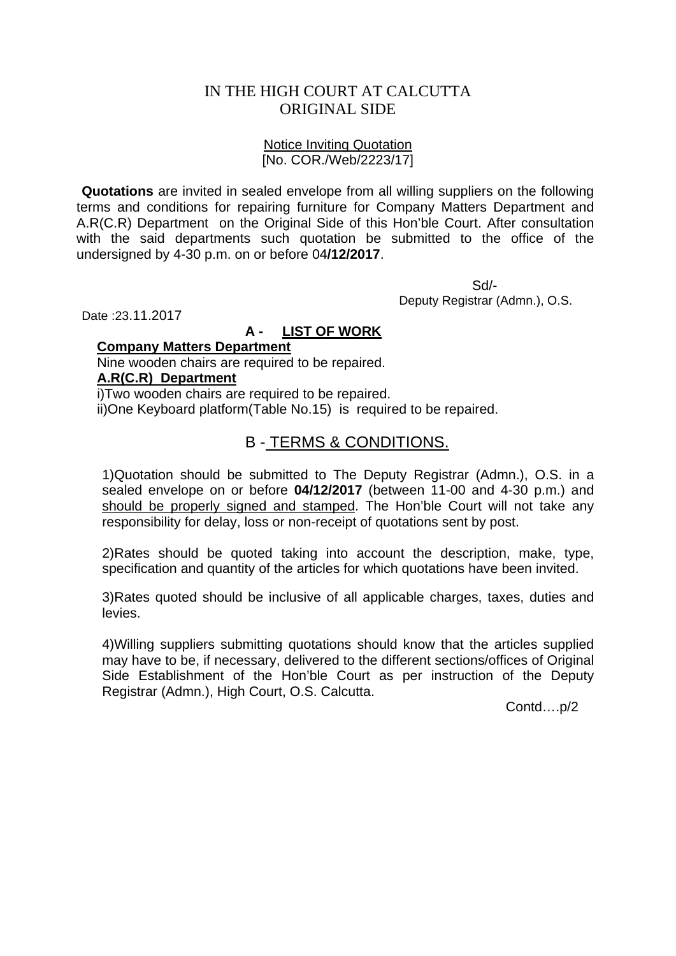## IN THE HIGH COURT AT CALCUTTA ORIGINAL SIDE

## Notice Inviting Quotation [No. COR./Web/2223/17]

**Quotations** are invited in sealed envelope from all willing suppliers on the following terms and conditions for repairing furniture for Company Matters Department and A.R(C.R) Department on the Original Side of this Hon'ble Court. After consultation with the said departments such quotation be submitted to the office of the undersigned by 4-30 p.m. on or before 04**/12/2017**.

 Sd/- Deputy Registrar (Admn.), O.S.

Date :23.11.2017

## **A - LIST OF WORK**

#### **Company Matters Department**

Nine wooden chairs are required to be repaired.

## **A.R(C.R) Department**

i)Two wooden chairs are required to be repaired. ii)One Keyboard platform(Table No.15) is required to be repaired.

# B - TERMS & CONDITIONS.

1)Quotation should be submitted to The Deputy Registrar (Admn.), O.S. in a sealed envelope on or before **04/12/2017** (between 11-00 and 4-30 p.m.) and should be properly signed and stamped. The Hon'ble Court will not take any responsibility for delay, loss or non-receipt of quotations sent by post.

2)Rates should be quoted taking into account the description, make, type, specification and quantity of the articles for which quotations have been invited.

3)Rates quoted should be inclusive of all applicable charges, taxes, duties and levies.

4)Willing suppliers submitting quotations should know that the articles supplied may have to be, if necessary, delivered to the different sections/offices of Original Side Establishment of the Hon'ble Court as per instruction of the Deputy Registrar (Admn.), High Court, O.S. Calcutta.

Contd….p/2